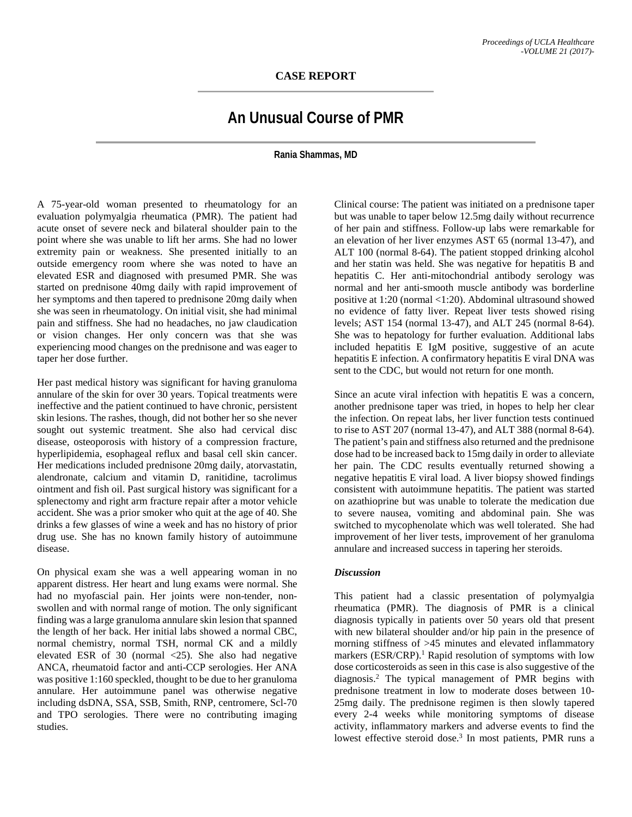## **An Unusual Course of PMR**

**Rania Shammas, MD**

A 75-year-old woman presented to rheumatology for an evaluation polymyalgia rheumatica (PMR). The patient had acute onset of severe neck and bilateral shoulder pain to the point where she was unable to lift her arms. She had no lower extremity pain or weakness. She presented initially to an outside emergency room where she was noted to have an elevated ESR and diagnosed with presumed PMR. She was started on prednisone 40mg daily with rapid improvement of her symptoms and then tapered to prednisone 20mg daily when she was seen in rheumatology. On initial visit, she had minimal pain and stiffness. She had no headaches, no jaw claudication or vision changes. Her only concern was that she was experiencing mood changes on the prednisone and was eager to taper her dose further.

Her past medical history was significant for having granuloma annulare of the skin for over 30 years. Topical treatments were ineffective and the patient continued to have chronic, persistent skin lesions. The rashes, though, did not bother her so she never sought out systemic treatment. She also had cervical disc disease, osteoporosis with history of a compression fracture, hyperlipidemia, esophageal reflux and basal cell skin cancer. Her medications included prednisone 20mg daily, atorvastatin, alendronate, calcium and vitamin D, ranitidine, tacrolimus ointment and fish oil. Past surgical history was significant for a splenectomy and right arm fracture repair after a motor vehicle accident. She was a prior smoker who quit at the age of 40. She drinks a few glasses of wine a week and has no history of prior drug use. She has no known family history of autoimmune disease.

On physical exam she was a well appearing woman in no apparent distress. Her heart and lung exams were normal. She had no myofascial pain. Her joints were non-tender, nonswollen and with normal range of motion. The only significant finding was a large granuloma annulare skin lesion that spanned the length of her back. Her initial labs showed a normal CBC, normal chemistry, normal TSH, normal CK and a mildly elevated ESR of 30 (normal <25). She also had negative ANCA, rheumatoid factor and anti-CCP serologies. Her ANA was positive 1:160 speckled, thought to be due to her granuloma annulare. Her autoimmune panel was otherwise negative including dsDNA, SSA, SSB, Smith, RNP, centromere, Scl-70 and TPO serologies. There were no contributing imaging studies.

Clinical course: The patient was initiated on a prednisone taper but was unable to taper below 12.5mg daily without recurrence of her pain and stiffness. Follow-up labs were remarkable for an elevation of her liver enzymes AST 65 (normal 13-47), and ALT 100 (normal 8-64). The patient stopped drinking alcohol and her statin was held. She was negative for hepatitis B and hepatitis C. Her anti-mitochondrial antibody serology was normal and her anti-smooth muscle antibody was borderline positive at 1:20 (normal <1:20). Abdominal ultrasound showed no evidence of fatty liver. Repeat liver tests showed rising levels; AST 154 (normal 13-47), and ALT 245 (normal 8-64). She was to hepatology for further evaluation. Additional labs included hepatitis E IgM positive, suggestive of an acute hepatitis E infection. A confirmatory hepatitis E viral DNA was sent to the CDC, but would not return for one month.

Since an acute viral infection with hepatitis E was a concern, another prednisone taper was tried, in hopes to help her clear the infection. On repeat labs, her liver function tests continued to rise to AST 207 (normal 13-47), and ALT 388 (normal 8-64). The patient's pain and stiffness also returned and the prednisone dose had to be increased back to 15mg daily in order to alleviate her pain. The CDC results eventually returned showing a negative hepatitis E viral load. A liver biopsy showed findings consistent with autoimmune hepatitis. The patient was started on azathioprine but was unable to tolerate the medication due to severe nausea, vomiting and abdominal pain. She was switched to mycophenolate which was well tolerated. She had improvement of her liver tests, improvement of her granuloma annulare and increased success in tapering her steroids.

## *Discussion*

This patient had a classic presentation of polymyalgia rheumatica (PMR). The diagnosis of PMR is a clinical diagnosis typically in patients over 50 years old that present with new bilateral shoulder and/or hip pain in the presence of morning stiffness of >45 minutes and elevated inflammatory markers (ESR/CRP).<sup>1</sup> Rapid resolution of symptoms with low dose corticosteroids as seen in this case is also suggestive of the diagnosis.2 The typical management of PMR begins with prednisone treatment in low to moderate doses between 10- 25mg daily. The prednisone regimen is then slowly tapered every 2-4 weeks while monitoring symptoms of disease activity, inflammatory markers and adverse events to find the lowest effective steroid dose.<sup>3</sup> In most patients, PMR runs a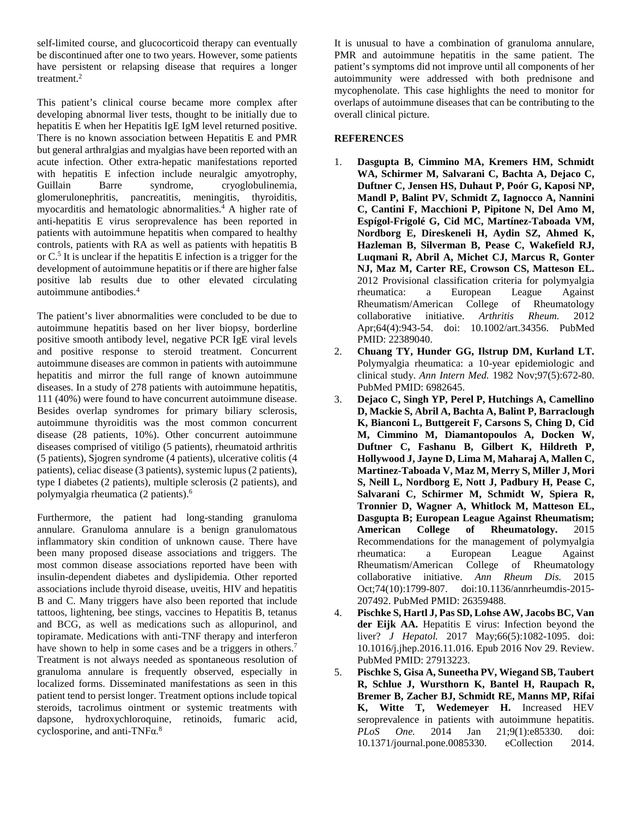self-limited course, and glucocorticoid therapy can eventually be discontinued after one to two years. However, some patients have persistent or relapsing disease that requires a longer treatment.2

This patient's clinical course became more complex after developing abnormal liver tests, thought to be initially due to hepatitis E when her Hepatitis IgE IgM level returned positive. There is no known association between Hepatitis E and PMR but general arthralgias and myalgias have been reported with an acute infection. Other extra-hepatic manifestations reported with hepatitis E infection include neuralgic amyotrophy, Guillain Barre syndrome, cryoglobulinemia, glomerulonephritis, pancreatitis, meningitis, thyroiditis, myocarditis and hematologic abnormalities.<sup>4</sup> A higher rate of anti-hepatitis E virus seroprevalence has been reported in patients with autoimmune hepatitis when compared to healthy controls, patients with RA as well as patients with hepatitis B or C.5 It is unclear if the hepatitis E infection is a trigger for the development of autoimmune hepatitis or if there are higher false positive lab results due to other elevated circulating autoimmune antibodies.4

The patient's liver abnormalities were concluded to be due to autoimmune hepatitis based on her liver biopsy, borderline positive smooth antibody level, negative PCR IgE viral levels and positive response to steroid treatment. Concurrent autoimmune diseases are common in patients with autoimmune hepatitis and mirror the full range of known autoimmune diseases. In a study of 278 patients with autoimmune hepatitis, 111 (40%) were found to have concurrent autoimmune disease. Besides overlap syndromes for primary biliary sclerosis, autoimmune thyroiditis was the most common concurrent disease (28 patients, 10%). Other concurrent autoimmune diseases comprised of vitiligo (5 patients), rheumatoid arthritis (5 patients), Sjogren syndrome (4 patients), ulcerative colitis (4 patients), celiac disease (3 patients), systemic lupus (2 patients), type I diabetes (2 patients), multiple sclerosis (2 patients), and polymyalgia rheumatica (2 patients).6

Furthermore, the patient had long-standing granuloma annulare. Granuloma annulare is a benign granulomatous inflammatory skin condition of unknown cause. There have been many proposed disease associations and triggers. The most common disease associations reported have been with insulin-dependent diabetes and dyslipidemia. Other reported associations include thyroid disease, uveitis, HIV and hepatitis B and C. Many triggers have also been reported that include tattoos, lightening, bee stings, vaccines to Hepatitis B, tetanus and BCG, as well as medications such as allopurinol, and topiramate. Medications with anti-TNF therapy and interferon have shown to help in some cases and be a triggers in others.<sup>7</sup> Treatment is not always needed as spontaneous resolution of granuloma annulare is frequently observed, especially in localized forms. Disseminated manifestations as seen in this patient tend to persist longer. Treatment options include topical steroids, tacrolimus ointment or systemic treatments with dapsone, hydroxychloroquine, retinoids, fumaric acid, cyclosporine, and anti-TNFα.<sup>8</sup>

It is unusual to have a combination of granuloma annulare, PMR and autoimmune hepatitis in the same patient. The patient's symptoms did not improve until all components of her autoimmunity were addressed with both prednisone and mycophenolate. This case highlights the need to monitor for overlaps of autoimmune diseases that can be contributing to the overall clinical picture.

## **REFERENCES**

- 1. **Dasgupta B, Cimmino MA, Kremers HM, Schmidt WA, Schirmer M, Salvarani C, Bachta A, Dejaco C, Duftner C, Jensen HS, Duhaut P, Poór G, Kaposi NP, Mandl P, Balint PV, Schmidt Z, Iagnocco A, Nannini C, Cantini F, Macchioni P, Pipitone N, Del Amo M, Espígol-Frigolé G, Cid MC, Martínez-Taboada VM, Nordborg E, Direskeneli H, Aydin SZ, Ahmed K, Hazleman B, Silverman B, Pease C, Wakefield RJ, Luqmani R, Abril A, Michet CJ, Marcus R, Gonter NJ, Maz M, Carter RE, Crowson CS, Matteson EL.**  2012 Provisional classification criteria for polymyalgia rheumatica: a European League Against Rheumatism/American College of Rheumatology collaborative initiative. *Arthritis Rheum.* 2012 Apr;64(4):943-54. doi: 10.1002/art.34356. PubMed PMID: 22389040.
- 2. **Chuang TY, Hunder GG, Ilstrup DM, Kurland LT.** Polymyalgia rheumatica: a 10-year epidemiologic and clinical study. *Ann Intern Med.* 1982 Nov;97(5):672-80. PubMed PMID: 6982645.
- 3. **Dejaco C, Singh YP, Perel P, Hutchings A, Camellino D, Mackie S, Abril A, Bachta A, Balint P, Barraclough K, Bianconi L, Buttgereit F, Carsons S, Ching D, Cid M, Cimmino M, Diamantopoulos A, Docken W, Duftner C, Fashanu B, Gilbert K, Hildreth P, Hollywood J, Jayne D, Lima M, Maharaj A, Mallen C, Martinez-Taboada V, Maz M, Merry S, Miller J, Mori S, Neill L, Nordborg E, Nott J, Padbury H, Pease C, Salvarani C, Schirmer M, Schmidt W, Spiera R, Tronnier D, Wagner A, Whitlock M, Matteson EL, Dasgupta B; European League Against Rheumatism; College of Rheumatology.** 2015 Recommendations for the management of polymyalgia rheumatica: a European League Against Rheumatism/American College of Rheumatology collaborative initiative. *Ann Rheum Dis.* 2015 Oct;74(10):1799-807. doi:10.1136/annrheumdis-2015- 207492. PubMed PMID: 26359488.
- 4. **Pischke S, Hartl J, Pas SD, Lohse AW, Jacobs BC, Van der Eijk AA.** Hepatitis E virus: Infection beyond the liver? *J Hepatol.* 2017 May;66(5):1082-1095. doi: 10.1016/j.jhep.2016.11.016. Epub 2016 Nov 29. Review. PubMed PMID: 27913223.
- 5. **Pischke S, Gisa A, Suneetha PV, Wiegand SB, Taubert R, Schlue J, Wursthorn K, Bantel H, Raupach R, Bremer B, Zacher BJ, Schmidt RE, Manns MP, Rifai K, Witte T, Wedemeyer H.** Increased HEV seroprevalence in patients with autoimmune hepatitis. *PLoS One.* 2014 Jan 21;9(1):e85330. doi: 10.1371/journal.pone.0085330. eCollection 2014.